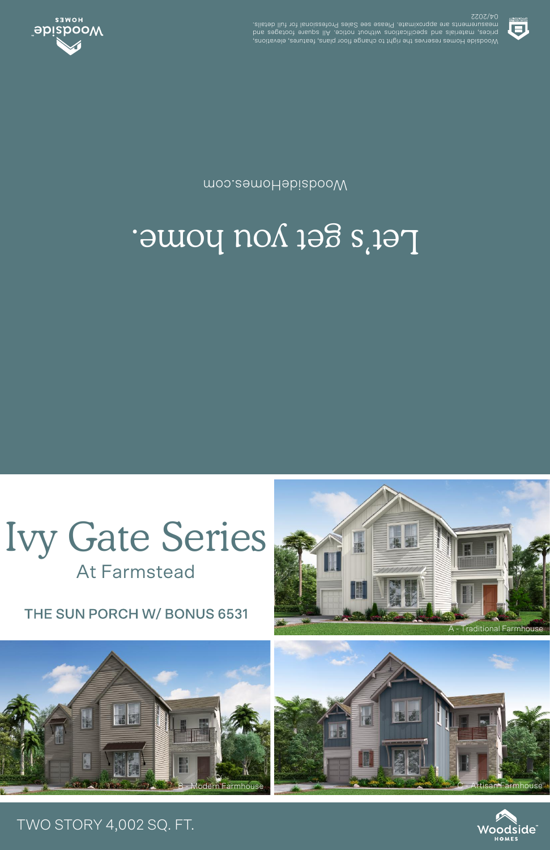THE SUN PORCH W/ BONUS 6531

**At Farmstead** 



## Let's get you home.

moo.eamoHabizbooW



**SSOS/40** .elisteb llut tot lanoiszetor9 zels2 ees essel9 .etamixotqqs ets stnemetussem prices, materials and specifications unditional notice. All susue one section Woodside Homes reserves the right to change floor plans, features, elevations,



## TWO STORY 4,002 SQ. FT.